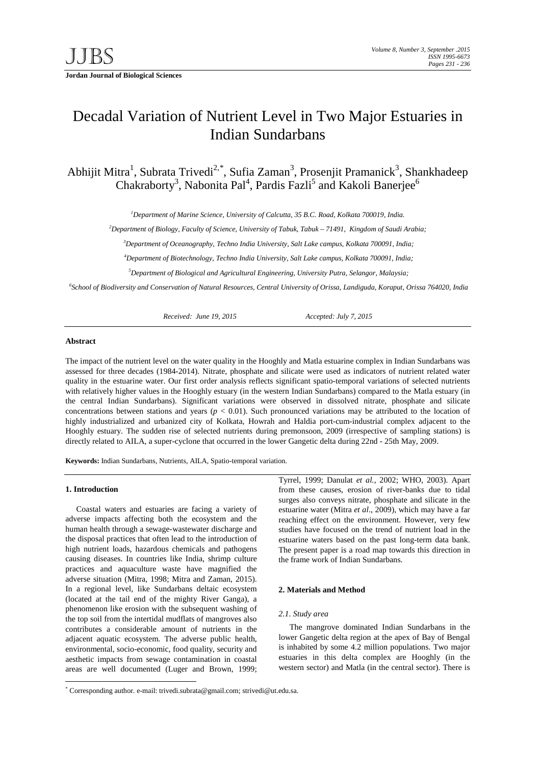**Jordan Journal of Biological Sciences** 

# Decadal Variation of Nutrient Level in Two Major Estuaries in Indian Sundarbans

Abhijit Mitra<sup>1</sup>, Subrata Trivedi<sup>2,[\\*](#page-0-0)</sup>, Sufia Zaman<sup>3</sup>, Prosenjit Pramanick<sup>3</sup>, Shankhadeep Chakraborty<sup>3</sup>, Nabonita Pal<sup>4</sup>, Pardis Fazli<sup>5</sup> and Kakoli Banerjee<sup>6</sup>

*1 Department of Marine Science, University of Calcutta, 35 B.C. Road, Kolkata 700019, India.*

*2 Department of Biology, Faculty of Science, University of Tabuk, Tabuk – 71491, Kingdom of Saudi Arabia;*

*3 Department of Oceanography, Techno India University, Salt Lake campus, Kolkata 700091, India;*

*4 Department of Biotechnology, Techno India University, Salt Lake campus, Kolkata 700091, India;*

*5 Department of Biological and Agricultural Engineering, University Putra, Selangor, Malaysia;*

*6 School of Biodiversity and Conservation of Natural Resources, Central University of Orissa, Landiguda, Koraput, Orissa 764020, India*

*Received: June 19, 2015 Accepted: July 7, 2015*

### **Abstract**

The impact of the nutrient level on the water quality in the Hooghly and Matla estuarine complex in Indian Sundarbans was assessed for three decades (1984-2014). Nitrate, phosphate and silicate were used as indicators of nutrient related water quality in the estuarine water. Our first order analysis reflects significant spatio-temporal variations of selected nutrients with relatively higher values in the Hooghly estuary (in the western Indian Sundarbans) compared to the Matla estuary (in the central Indian Sundarbans). Significant variations were observed in dissolved nitrate, phosphate and silicate concentrations between stations and years  $(p < 0.01)$ . Such pronounced variations may be attributed to the location of highly industrialized and urbanized city of Kolkata, Howrah and Haldia port-cum-industrial complex adjacent to the Hooghly estuary. The sudden rise of selected nutrients during premonsoon, 2009 (irrespective of sampling stations) is directly related to AILA, a super-cyclone that occurred in the lower Gangetic delta during 22nd - 25th May, 2009.

**Keywords:** Indian Sundarbans, Nutrients, AILA, Spatio-temporal variation.

## **1. Introduction**

Coastal waters and estuaries are facing a variety of adverse impacts affecting both the ecosystem and the human health through a sewage-wastewater discharge and the disposal practices that often lead to the introduction of high nutrient loads, hazardous chemicals and pathogens causing diseases. In countries like India, shrimp culture practices and aquaculture waste have magnified the adverse situation (Mitra, 1998; Mitra and Zaman, 2015). In a regional level, like Sundarbans deltaic ecosystem (located at the tail end of the mighty River Ganga), a phenomenon like erosion with the subsequent washing of the top soil from the intertidal mudflats of mangroves also contributes a considerable amount of nutrients in the adjacent aquatic ecosystem. The adverse public health, environmental, socio-economic, food quality, security and aesthetic impacts from sewage contamination in coastal areas are well documented (Luger and Brown, 1999;

Tyrrel, 1999; Danulat *et al.*, 2002; WHO, 2003). Apart from these causes, erosion of river-banks due to tidal surges also conveys nitrate, phosphate and silicate in the estuarine water (Mitra *et al*., 2009), which may have a far reaching effect on the environment. However, very few studies have focused on the trend of nutrient load in the estuarine waters based on the past long-term data bank. The present paper is a road map towards this direction in the frame work of Indian Sundarbans.

## **2. Materials and Method**

#### *2.1. Study area*

The mangrove dominated Indian Sundarbans in the lower Gangetic delta region at the apex of Bay of Bengal is inhabited by some 4.2 million populations. Two major estuaries in this delta complex are Hooghly (in the western sector) and Matla (in the central sector). There is

<span id="page-0-0"></span> <sup>\*</sup> Corresponding author. e-mail: trivedi.subrata@gmail.com; strivedi@ut.edu.sa.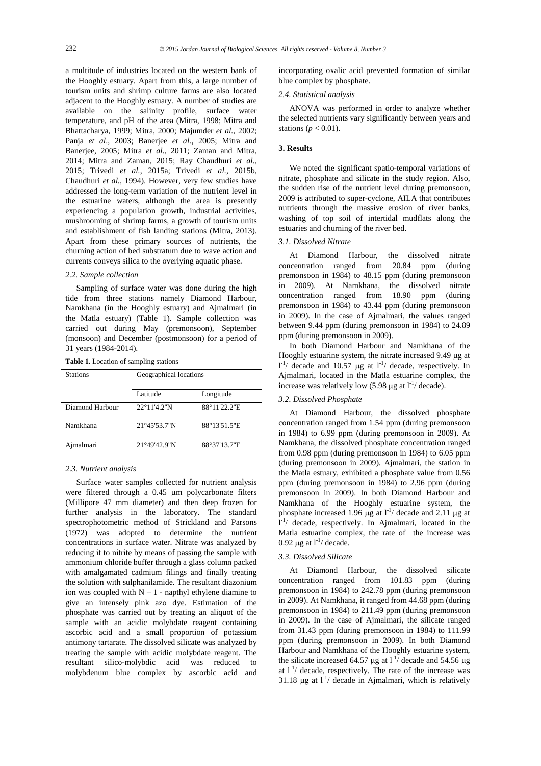a multitude of industries located on the western bank of the Hooghly estuary. Apart from this, a large number of tourism units and shrimp culture farms are also located adjacent to the Hooghly estuary. A number of studies are available on the salinity profile, surface water temperature, and pH of the area (Mitra, 1998; Mitra and Bhattacharya, 1999; Mitra, 2000; Majumder *et al.*, 2002; Panja *et al*., 2003; Banerjee *et al.*, 2005; Mitra and Banerjee, 2005; Mitra *et al.*, 2011; Zaman and Mitra, 2014; Mitra and Zaman, 2015; Ray Chaudhuri *et al.*, 2015; Trivedi *et al.*, 2015a; Trivedi *et al.*, 2015b, Chaudhuri *et al.*, 1994). However, very few studies have addressed the long-term variation of the nutrient level in the estuarine waters, although the area is presently experiencing a population growth, industrial activities, mushrooming of shrimp farms, a growth of tourism units and establishment of fish landing stations (Mitra, 2013). Apart from these primary sources of nutrients, the churning action of bed substratum due to wave action and currents conveys silica to the overlying aquatic phase.

## *2.2. Sample collection*

Sampling of surface water was done during the high tide from three stations namely Diamond Harbour, Namkhana (in the Hooghly estuary) and Ajmalmari (in the Matla estuary) (Table 1). Sample collection was carried out during May (premonsoon), September (monsoon) and December (postmonsoon) for a period of 31 years (1984-2014).

**Table 1.** Location of sampling stations

| <b>Stations</b> | Geographical locations |              |  |
|-----------------|------------------------|--------------|--|
|                 | Latitude               | Longitude    |  |
| Diamond Harbour | $22^{\circ}11'4.2''N$  | 88°11'22.2"E |  |
| Namkhana        | $21^{\circ}45'53.7''N$ | 88°13'51.5"E |  |
| Ajmalmari       | 21°49'42.9"N           | 88°37'13.7"E |  |

#### *2.3. Nutrient analysis*

Surface water samples collected for nutrient analysis were filtered through a 0.45 µm polycarbonate filters (Millipore 47 mm diameter) and then deep frozen for further analysis in the laboratory. The standard spectrophotometric method of Strickland and Parsons (1972) was adopted to determine the nutrient concentrations in surface water. Nitrate was analyzed by reducing it to nitrite by means of passing the sample with ammonium chloride buffer through a glass column packed with amalgamated cadmium filings and finally treating the solution with sulphanilamide. The resultant diazonium ion was coupled with  $N - 1$  - napthyl ethylene diamine to give an intensely pink azo dye. Estimation of the phosphate was carried out by treating an aliquot of the sample with an acidic molybdate reagent containing ascorbic acid and a small proportion of potassium antimony tartarate. The dissolved silicate was analyzed by treating the sample with acidic molybdate reagent. The resultant silico-molybdic acid was reduced to molybdenum blue complex by ascorbic acid and

incorporating oxalic acid prevented formation of similar blue complex by phosphate.

## *2.4. Statistical analysis*

ANOVA was performed in order to analyze whether the selected nutrients vary significantly between years and stations ( $p < 0.01$ ).

## **3. Results**

We noted the significant spatio-temporal variations of nitrate, phosphate and silicate in the study region. Also, the sudden rise of the nutrient level during premonsoon, 2009 is attributed to super-cyclone, AILA that contributes nutrients through the massive erosion of river banks, washing of top soil of intertidal mudflats along the estuaries and churning of the river bed.

## *3.1. Dissolved Nitrate*

At Diamond Harbour, the dissolved nitrate concentration ranged from 20.84 ppm (during premonsoon in 1984) to 48.15 ppm (during premonsoon in 2009). At Namkhana, the dissolved nitrate concentration ranged from 18.90 ppm (during premonsoon in 1984) to 43.44 ppm (during premonsoon in 2009). In the case of Ajmalmari, the values ranged between 9.44 ppm (during premonsoon in 1984) to 24.89 ppm (during premonsoon in 2009).

In both Diamond Harbour and Namkhana of the Hooghly estuarine system, the nitrate increased 9.49 µg at  $1^{-1}$ / decade and 10.57 µg at  $1^{-1}$ / decade, respectively. In Ajmalmari, located in the Matla estuarine complex, the increase was relatively low (5.98  $\mu$ g at l<sup>-1</sup>/ decade).

## *3.2. Dissolved Phosphate*

At Diamond Harbour, the dissolved phosphate concentration ranged from 1.54 ppm (during premonsoon in 1984) to 6.99 ppm (during premonsoon in 2009). At Namkhana, the dissolved phosphate concentration ranged from 0.98 ppm (during premonsoon in 1984) to 6.05 ppm (during premonsoon in 2009). Ajmalmari, the station in the Matla estuary, exhibited a phosphate value from 0.56 ppm (during premonsoon in 1984) to 2.96 ppm (during premonsoon in 2009). In both Diamond Harbour and Namkhana of the Hooghly estuarine system, the phosphate increased 1.96  $\mu$ g at l<sup>-1</sup>/ decade and 2.11  $\mu$ g at l -1 / decade, respectively. In Ajmalmari, located in the Matla estuarine complex, the rate of the increase was 0.92  $\mu$ g at l<sup>-1</sup>/ decade.

#### *3.3. Dissolved Silicate*

At Diamond Harbour, the dissolved silicate concentration ranged from 101.83 ppm (during premonsoon in 1984) to 242.78 ppm (during premonsoon in 2009). At Namkhana, it ranged from 44.68 ppm (during premonsoon in 1984) to 211.49 ppm (during premonsoon in 2009). In the case of Ajmalmari, the silicate ranged from 31.43 ppm (during premonsoon in 1984) to 111.99 ppm (during premonsoon in 2009). In both Diamond Harbour and Namkhana of the Hooghly estuarine system, the silicate increased 64.57  $\mu$ g at l<sup>-1</sup>/ decade and 54.56  $\mu$ g at  $1^{-1}$  decade, respectively. The rate of the increase was 31.18  $\mu$ g at  $I^{-1}$ / decade in Ajmalmari, which is relatively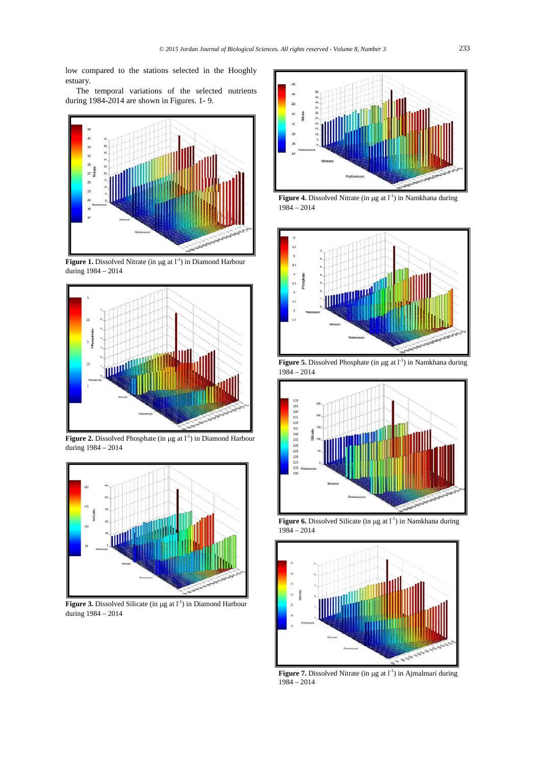low compared to the stations selected in the Hooghly estuary.

The temporal variations of the selected nutrients during 1984-2014 are shown in Figures. 1- 9.



Figure 1. Dissolved Nitrate (in µg at l<sup>-1</sup>) in Diamond Harbour during 1984 – 2014



**Figure 2.** Dissolved Phosphate (in  $\mu$ g at  $1^{-1}$ ) in Diamond Harbour during 1984 – 2014



Figure 3. Dissolved Silicate (in  $\mu$ g at l<sup>-1</sup>) in Diamond Harbour during 1984 – 2014



 $1984 - 2014$ 



**Figure 5.** Dissolved Phosphate (in  $\mu$ g at  $l^{-1}$ ) in Namkhana during 1984 – 2014



Figure 6. Dissolved Silicate (in µg at l<sup>-1</sup>) in Namkhana during  $1984 - 2014$ 



Figure 7. Dissolved Nitrate (in µg at l<sup>-1</sup>) in Ajmalmari during 1984 – 2014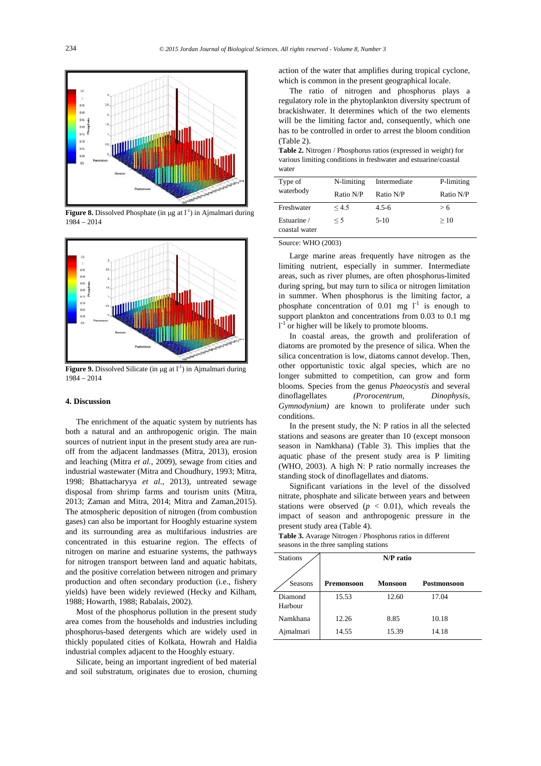

**Figure 8.** Dissolved Phosphate (in  $\mu$ g at  $l^{-1}$ ) in Ajmalmari during 1984 – 2014



Figure 9. Dissolved Silicate (in µg at l<sup>-1</sup>) in Ajmalmari during 1984 – 2014

## **4. Discussion**

The enrichment of the aquatic system by nutrients has both a natural and an anthropogenic origin. The main sources of nutrient input in the present study area are runoff from the adjacent landmasses (Mitra, 2013), erosion and leaching (Mitra *et al.,* 2009), sewage from cities and industrial wastewater (Mitra and Choudhury, 1993; Mitra, 1998; Bhattacharyya *et al.,* 2013), untreated sewage disposal from shrimp farms and tourism units (Mitra, 2013; Zaman and Mitra, 2014; Mitra and Zaman,2015). The atmospheric deposition of nitrogen (from combustion gases) can also be important for Hooghly estuarine system and its surrounding area as multifarious industries are concentrated in this estuarine region. The effects of nitrogen on marine and estuarine systems, the pathways for nitrogen transport between land and aquatic habitats, and the positive correlation between nitrogen and primary production and often secondary production (i.e., fishery yields) have been widely reviewed (Hecky and Kilham, 1988; Howarth, 1988; Rabalais, 2002).

Most of the phosphorus pollution in the present study area comes from the households and industries including phosphorus-based detergents which are widely used in thickly populated cities of Kolkata, Howrah and Haldia industrial complex adjacent to the Hooghly estuary.

Silicate, being an important ingredient of bed material and soil substratum, originates due to erosion, churning

action of the water that amplifies during tropical cyclone, which is common in the present geographical locale.

The ratio of nitrogen and phosphorus plays a regulatory role in the phytoplankton diversity spectrum of brackishwater. It determines which of the two elements will be the limiting factor and, consequently, which one has to be controlled in order to arrest the bloom condition (Table 2).

**Table 2.** Nitrogen / Phosphorus ratios (expressed in weight) for various limiting conditions in freshwater and estuarine/coastal water

| Type of<br>waterbody         | N-limiting<br>Ratio N/P | Intermediate<br>Ratio N/P | P-limiting<br>Ratio N/P |
|------------------------------|-------------------------|---------------------------|-------------------------|
| Freshwater                   | < 4.5                   | $4.5 - 6$                 | > 6                     |
| Estuarine /<br>coastal water | $\leq$ 5                | $5-10$                    | >10                     |

Source: WHO (2003)

Large marine areas frequently have nitrogen as the limiting nutrient, especially in summer. Intermediate areas, such as river plumes, are often phosphorus-limited during spring, but may turn to silica or nitrogen limitation in summer. When phosphorus is the limiting factor, a phosphate concentration of 0.01 mg  $1^{-1}$  is enough to support plankton and concentrations from 0.03 to 0.1 mg  $l<sup>-1</sup>$  or higher will be likely to promote blooms.

In coastal areas, the growth and proliferation of diatoms are promoted by the presence of silica. When the silica concentration is low, diatoms cannot develop. Then, other opportunistic toxic algal species, which are no longer submitted to competition, can grow and form blooms. Species from the genus *Phaeocystis* and several dinoflagellates *(Prorocentrum, Dinophysis, Gymnodynium*) are known to proliferate under such conditions.

In the present study, the N: P ratios in all the selected stations and seasons are greater than 10 (except monsoon season in Namkhana) (Table 3). This implies that the aquatic phase of the present study area is P limiting (WHO, 2003). A high N: P ratio normally increases the standing stock of dinoflagellates and diatoms.

Significant variations in the level of the dissolved nitrate, phosphate and silicate between years and between stations were observed  $(p < 0.01)$ , which reveals the impact of season and anthropogenic pressure in the present study area (Table 4).

**Table 3.** Avarage Nitrogen / Phosphorus ratios in different seasons in the three sampling stations

| <b>Stations</b>    | N/P ratio         |         |             |  |  |
|--------------------|-------------------|---------|-------------|--|--|
| Seasons            | <b>Premonsoon</b> | Monsoon | Postmonsoon |  |  |
| Diamond<br>Harbour | 15.53             | 12.60   | 17.04       |  |  |
| Namkhana           | 12.26             | 8.85    | 10.18       |  |  |
| Ajmalmari          | 14.55             | 15.39   | 14.18       |  |  |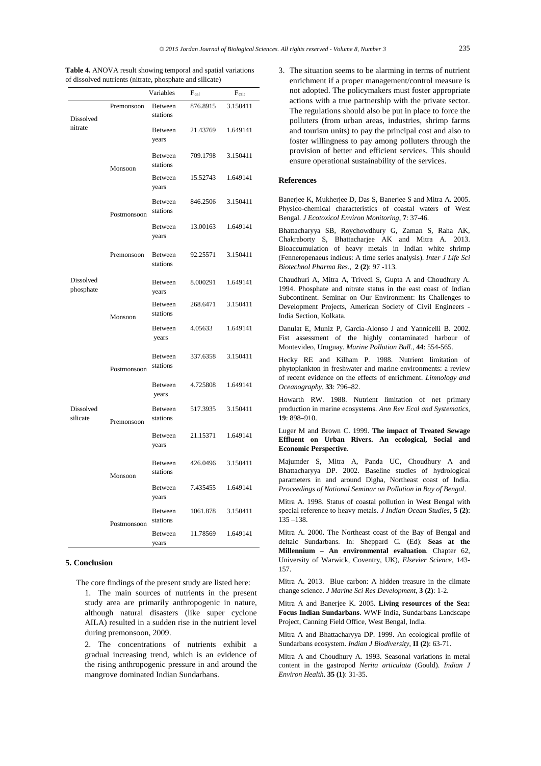**Table 4.** ANOVA result showing temporal and spatial variations of dissolved nutrients (nitrate, phosphate and silicate)

|                        |             | Variables                  | $F_{cal}$ | F <sub>crit</sub> |
|------------------------|-------------|----------------------------|-----------|-------------------|
| Dissolved<br>nitrate   | Premonsoon  | Between<br>stations        | 876.8915  | 3.150411          |
|                        |             | Between<br>years           | 21.43769  | 1.649141          |
|                        | Monsoon     | Between<br>stations        | 709.1798  | 3.150411          |
|                        |             | Between<br>years           | 15.52743  | 1.649141          |
|                        | Postmonsoon | Between<br>stations        | 846.2506  | 3.150411          |
|                        |             | Between<br>years           | 13.00163  | 1.649141          |
|                        | Premonsoon  | Between<br>stations        | 92.25571  | 3.150411          |
| Dissolved<br>phosphate |             | Between<br>years           | 8.000291  | 1.649141          |
| Dissolved<br>silicate  | Monsoon     | Between<br>stations        | 268.6471  | 3.150411          |
|                        |             | Between<br>years           | 4.05633   | 1.649141          |
|                        | Postmonsoon | Between<br>stations        | 337.6358  | 3.150411          |
|                        |             | Between<br>years           | 4.725808  | 1.649141          |
|                        | Premonsoon  | Between<br>stations        | 517.3935  | 3.150411          |
|                        |             | Between<br>years           | 21.15371  | 1.649141          |
|                        | Monsoon     | <b>Between</b><br>stations | 426.0496  | 3.150411          |
|                        |             | Between<br>years           | 7.435455  | 1.649141          |
|                        | Postmonsoon | Between<br>stations        | 1061.878  | 3.150411          |
|                        |             | <b>Between</b><br>years    | 11.78569  | 1.649141          |

## **5. Conclusion**

The core findings of the present study are listed here:

1. The main sources of nutrients in the present study area are primarily anthropogenic in nature, although natural disasters (like super cyclone AILA) resulted in a sudden rise in the nutrient level during premonsoon, 2009.

2. The concentrations of nutrients exhibit a gradual increasing trend, which is an evidence of the rising anthropogenic pressure in and around the mangrove dominated Indian Sundarbans.

3. The situation seems to be alarming in terms of nutrient enrichment if a proper management/control measure is not adopted. The policymakers must foster appropriate actions with a true partnership with the private sector. The regulations should also be put in place to force the polluters (from urban areas, industries, shrimp farms and tourism units) to pay the principal cost and also to foster willingness to pay among polluters through the provision of better and efficient services. This should ensure operational sustainability of the services.

## **References**

Banerjee K, Mukherjee D, Das S, Banerjee S and Mitra A. 2005. Physico-chemical characteristics of coastal waters of West Bengal. *J Ecotoxicol Environ Monitoring*, **7**: 37-46.

Bhattacharyya SB, Roychowdhury G, Zaman S, Raha AK, Chakraborty S, Bhattacharjee AK and Mitra A. 2013. Bioaccumulation of heavy metals in Indian white shrimp (Fenneropenaeus indicus: A time series analysis). *Inter J Life Sci Biotechnol Pharma Res.,* **2 (2)**: 97 -113.

Chaudhuri A, Mitra A, Trivedi S, Gupta A and Choudhury A. 1994. Phosphate and nitrate status in the east coast of Indian Subcontinent. Seminar on Our Environment: Its Challenges to Development Projects, American Society of Civil Engineers - India Section, Kolkata.

Danulat E, Muniz P, García-Alonso J and Yannicelli B. 2002. Fist assessment of the highly contaminated harbour of Montevideo, Uruguay. *Marine Pollution Bull.*, **44**: 554-565.

Hecky RE and Kilham P. 1988. Nutrient limitation of phytoplankton in freshwater and marine environments: a review of recent evidence on the effects of enrichment. *Limnology and Oceanography*, **33**: 796–82.

Howarth RW. 1988. Nutrient limitation of net primary production in marine ecosystems. *Ann Rev Ecol and Systematics*, **19**: 898–910.

Luger M and Brown C. 1999. **The impact of Treated Sewage Effluent on Urban Rivers. An ecological, Social and Economic Perspective**.

Majumder S, Mitra A, Panda UC, Choudhury A and Bhattacharyya DP. 2002. Baseline studies of hydrological parameters in and around Digha, Northeast coast of India. *Proceedings of National Seminar on Pollution in Bay of Bengal*.

Mitra A. 1998. Status of coastal pollution in West Bengal with special reference to heavy metals. *J Indian Ocean Studies*, **5 (2)**: 135 –138.

Mitra A. 2000. The Northeast coast of the Bay of Bengal and deltaic Sundarbans. In: Sheppard C. (Ed): **Seas at the Millennium – An environmental evaluation**. Chapter 62, University of Warwick, Coventry, UK), *Elsevier Science*, 143- 157.

Mitra A. 2013. Blue carbon: A hidden treasure in the climate change science. *J Marine Sci Res Development*, **3 (2)**: 1-2.

Mitra A and Banerjee K. 2005. **Living resources of the Sea: Focus Indian Sundarbans**. WWF India, Sundarbans Landscape Project, Canning Field Office, West Bengal, India.

Mitra A and Bhattacharyya DP. 1999. An ecological profile of Sundarbans ecosystem. *Indian J Biodiversity*, **II (2)**: 63-71.

Mitra A and Choudhury A. 1993. Seasonal variations in metal content in the gastropod *Nerita articulata* (Gould). *Indian J Environ Health*. **35 (1)**: 31-35.